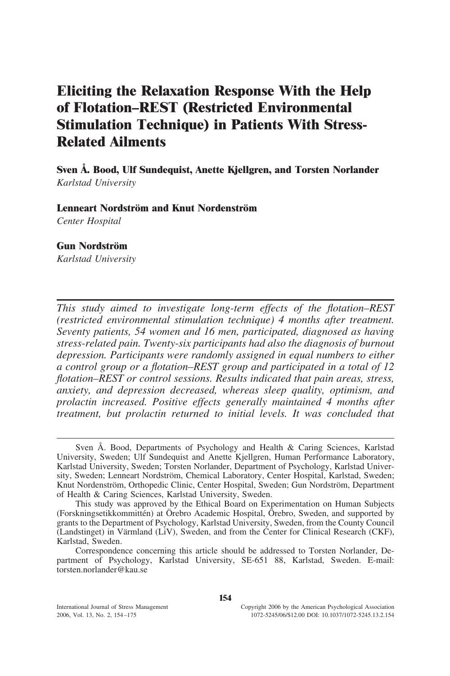# **Eliciting the Relaxation Response With the Help of Flotation–REST (Restricted Environmental Stimulation Technique) in Patients With Stress-Related Ailments**

**Sven Å. Bood, Ulf Sundequist, Anette Kjellgren, and Torsten Norlander** *Karlstad University*

**Lenneart Nordström and Knut Nordenström** *Center Hospital*

#### **Gun Nordström**

*Karlstad University*

*This study aimed to investigate long-term effects of the flotation–REST (restricted environmental stimulation technique) 4 months after treatment. Seventy patients, 54 women and 16 men, participated, diagnosed as having stress-related pain. Twenty-six participants had also the diagnosis of burnout depression. Participants were randomly assigned in equal numbers to either a control group or a flotation–REST group and participated in a total of 12 flotation–REST or control sessions. Results indicated that pain areas, stress, anxiety, and depression decreased, whereas sleep quality, optimism, and prolactin increased. Positive effects generally maintained 4 months after treatment, but prolactin returned to initial levels. It was concluded that*

Sven Å. Bood, Departments of Psychology and Health & Caring Sciences, Karlstad University, Sweden; Ulf Sundequist and Anette Kjellgren, Human Performance Laboratory, Karlstad University, Sweden; Torsten Norlander, Department of Psychology, Karlstad University, Sweden; Lenneart Nordström, Chemical Laboratory, Center Hospital, Karlstad, Sweden; Knut Nordenström, Orthopedic Clinic, Center Hospital, Sweden; Gun Nordström, Department of Health & Caring Sciences, Karlstad University, Sweden.

This study was approved by the Ethical Board on Experimentation on Human Subjects (Forskningsetikkommittén) at Örebro Academic Hospital, Örebro, Sweden, and supported by grants to the Department of Psychology, Karlstad University, Sweden, from the County Council (Landstinget) in Värmland (LiV), Sweden, and from the Center for Clinical Research (CKF), Karlstad, Sweden.

Correspondence concerning this article should be addressed to Torsten Norlander, Department of Psychology, Karlstad University, SE-651 88, Karlstad, Sweden. E-mail: torsten.norlander@kau.se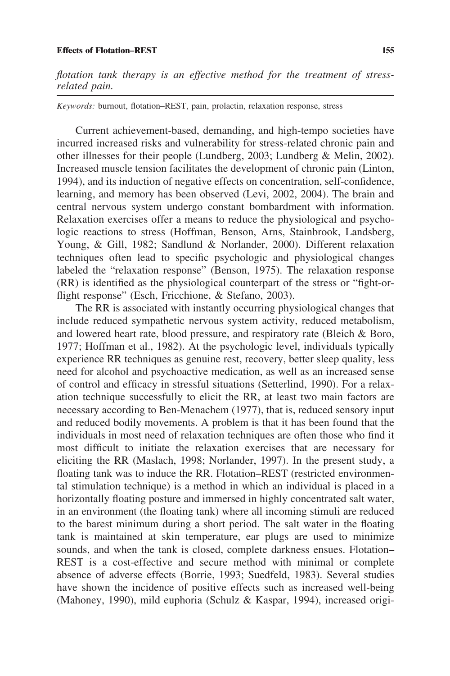#### **Effects of Flotation–REST 155**

*flotation tank therapy is an effective method for the treatment of stressrelated pain.*

*Keywords:* burnout, flotation–REST, pain, prolactin, relaxation response, stress

Current achievement-based, demanding, and high-tempo societies have incurred increased risks and vulnerability for stress-related chronic pain and other illnesses for their people (Lundberg, 2003; Lundberg & Melin, 2002). Increased muscle tension facilitates the development of chronic pain (Linton, 1994), and its induction of negative effects on concentration, self-confidence, learning, and memory has been observed (Levi, 2002, 2004). The brain and central nervous system undergo constant bombardment with information. Relaxation exercises offer a means to reduce the physiological and psychologic reactions to stress (Hoffman, Benson, Arns, Stainbrook, Landsberg, Young, & Gill, 1982; Sandlund & Norlander, 2000). Different relaxation techniques often lead to specific psychologic and physiological changes labeled the "relaxation response" (Benson, 1975). The relaxation response (RR) is identified as the physiological counterpart of the stress or "fight-orflight response" (Esch, Fricchione, & Stefano, 2003).

The RR is associated with instantly occurring physiological changes that include reduced sympathetic nervous system activity, reduced metabolism, and lowered heart rate, blood pressure, and respiratory rate (Bleich & Boro, 1977; Hoffman et al., 1982). At the psychologic level, individuals typically experience RR techniques as genuine rest, recovery, better sleep quality, less need for alcohol and psychoactive medication, as well as an increased sense of control and efficacy in stressful situations (Setterlind, 1990). For a relaxation technique successfully to elicit the RR, at least two main factors are necessary according to Ben-Menachem (1977), that is, reduced sensory input and reduced bodily movements. A problem is that it has been found that the individuals in most need of relaxation techniques are often those who find it most difficult to initiate the relaxation exercises that are necessary for eliciting the RR (Maslach, 1998; Norlander, 1997). In the present study, a floating tank was to induce the RR. Flotation–REST (restricted environmental stimulation technique) is a method in which an individual is placed in a horizontally floating posture and immersed in highly concentrated salt water, in an environment (the floating tank) where all incoming stimuli are reduced to the barest minimum during a short period. The salt water in the floating tank is maintained at skin temperature, ear plugs are used to minimize sounds, and when the tank is closed, complete darkness ensues. Flotation– REST is a cost-effective and secure method with minimal or complete absence of adverse effects (Borrie, 1993; Suedfeld, 1983). Several studies have shown the incidence of positive effects such as increased well-being (Mahoney, 1990), mild euphoria (Schulz & Kaspar, 1994), increased origi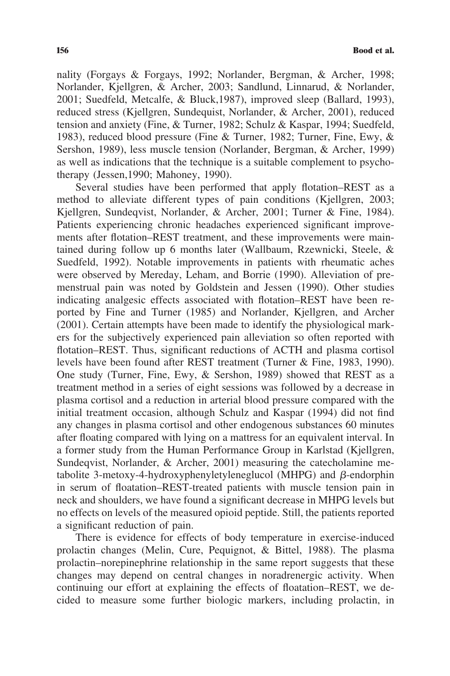nality (Forgays & Forgays, 1992; Norlander, Bergman, & Archer, 1998; Norlander, Kjellgren, & Archer, 2003; Sandlund, Linnarud, & Norlander, 2001; Suedfeld, Metcalfe, & Bluck,1987), improved sleep (Ballard, 1993), reduced stress (Kjellgren, Sundequist, Norlander, & Archer, 2001), reduced tension and anxiety (Fine, & Turner, 1982; Schulz & Kaspar, 1994; Suedfeld, 1983), reduced blood pressure (Fine & Turner, 1982; Turner, Fine, Ewy, & Sershon, 1989), less muscle tension (Norlander, Bergman, & Archer, 1999) as well as indications that the technique is a suitable complement to psychotherapy (Jessen,1990; Mahoney, 1990).

Several studies have been performed that apply flotation–REST as a method to alleviate different types of pain conditions (Kjellgren, 2003; Kjellgren, Sundeqvist, Norlander, & Archer, 2001; Turner & Fine, 1984). Patients experiencing chronic headaches experienced significant improvements after flotation–REST treatment, and these improvements were maintained during follow up 6 months later (Wallbaum, Rzewnicki, Steele, & Suedfeld, 1992). Notable improvements in patients with rheumatic aches were observed by Mereday, Leham, and Borrie (1990). Alleviation of premenstrual pain was noted by Goldstein and Jessen (1990). Other studies indicating analgesic effects associated with flotation–REST have been reported by Fine and Turner (1985) and Norlander, Kjellgren, and Archer (2001). Certain attempts have been made to identify the physiological markers for the subjectively experienced pain alleviation so often reported with flotation–REST. Thus, significant reductions of ACTH and plasma cortisol levels have been found after REST treatment (Turner & Fine, 1983, 1990). One study (Turner, Fine, Ewy, & Sershon, 1989) showed that REST as a treatment method in a series of eight sessions was followed by a decrease in plasma cortisol and a reduction in arterial blood pressure compared with the initial treatment occasion, although Schulz and Kaspar (1994) did not find any changes in plasma cortisol and other endogenous substances 60 minutes after floating compared with lying on a mattress for an equivalent interval. In a former study from the Human Performance Group in Karlstad (Kjellgren, Sundeqvist, Norlander, & Archer, 2001) measuring the catecholamine metabolite 3-metoxy-4-hydroxyphenyletyleneglucol (MHPG) and  $\beta$ -endorphin in serum of floatation–REST-treated patients with muscle tension pain in neck and shoulders, we have found a significant decrease in MHPG levels but no effects on levels of the measured opioid peptide. Still, the patients reported a significant reduction of pain.

There is evidence for effects of body temperature in exercise-induced prolactin changes (Melin, Cure, Pequignot, & Bittel, 1988). The plasma prolactin–norepinephrine relationship in the same report suggests that these changes may depend on central changes in noradrenergic activity. When continuing our effort at explaining the effects of floatation–REST, we decided to measure some further biologic markers, including prolactin, in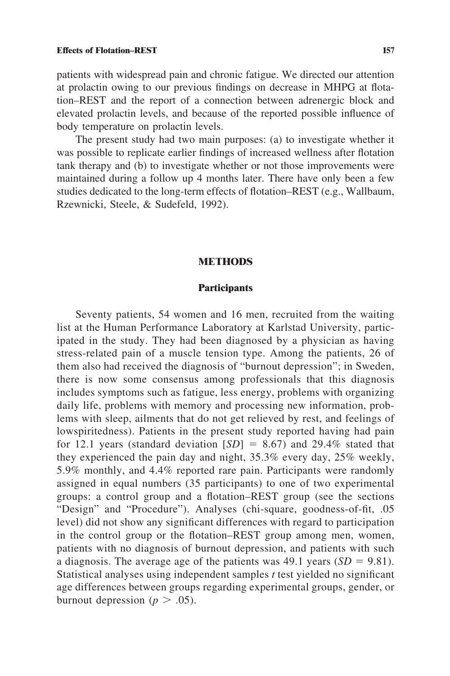patients with widespread pain and chronic fatigue. We directed our attention at prolactin owing to our previous findings on decrease in MHPG at flotation–REST and the report of a connection between adrenergic block and elevated prolactin levels, and because of the reported possible influence of body temperature on prolactin levels.

The present study had two main purposes: (a) to investigate whether it was possible to replicate earlier findings of increased wellness after flotation tank therapy and (b) to investigate whether or not those improvements were maintained during a follow up 4 months later. There have only been a few studies dedicated to the long-term effects of flotation–REST (e.g., Wallbaum, Rzewnicki, Steele, & Sudefeld, 1992).

#### **METHODS**

# **Participants**

Seventy patients, 54 women and 16 men, recruited from the waiting list at the Human Performance Laboratory at Karlstad University, participated in the study. They had been diagnosed by a physician as having stress-related pain of a muscle tension type. Among the patients, 26 of them also had received the diagnosis of "burnout depression"; in Sweden, there is now some consensus among professionals that this diagnosis includes symptoms such as fatigue, less energy, problems with organizing daily life, problems with memory and processing new information, problems with sleep, ailments that do not get relieved by rest, and feelings of lowspiritedness). Patients in the present study reported having had pain for 12.1 years (standard deviation  $[SD] = 8.67$ ) and 29.4% stated that they experienced the pain day and night, 35.3% every day, 25% weekly, 5.9% monthly, and 4.4% reported rare pain. Participants were randomly assigned in equal numbers (35 participants) to one of two experimental groups: a control group and a flotation–REST group (see the sections "Design" and "Procedure"). Analyses (chi-square, goodness-of-fit, .05 level) did not show any significant differences with regard to participation in the control group or the flotation–REST group among men, women, patients with no diagnosis of burnout depression, and patients with such a diagnosis. The average age of the patients was  $49.1$  years  $(SD = 9.81)$ . Statistical analyses using independent samples *t* test yielded no significant age differences between groups regarding experimental groups, gender, or burnout depression ( $p > .05$ ).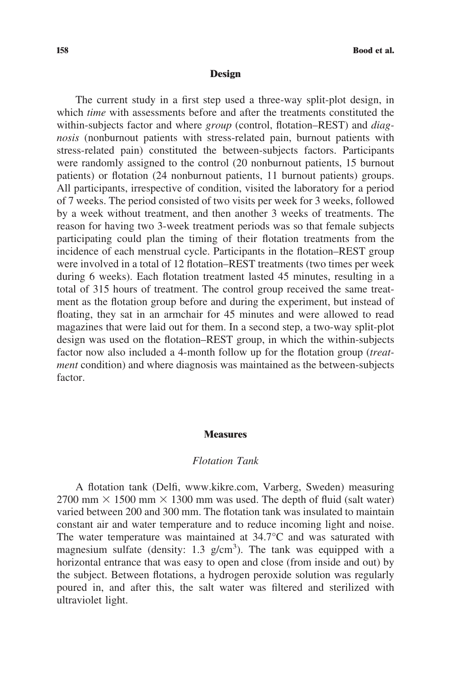#### **Design**

The current study in a first step used a three-way split-plot design, in which *time* with assessments before and after the treatments constituted the within-subjects factor and where *group* (control, flotation–REST) and *diagnosis* (nonburnout patients with stress-related pain, burnout patients with stress-related pain) constituted the between-subjects factors. Participants were randomly assigned to the control (20 nonburnout patients, 15 burnout patients) or flotation (24 nonburnout patients, 11 burnout patients) groups. All participants, irrespective of condition, visited the laboratory for a period of 7 weeks. The period consisted of two visits per week for 3 weeks, followed by a week without treatment, and then another 3 weeks of treatments. The reason for having two 3-week treatment periods was so that female subjects participating could plan the timing of their flotation treatments from the incidence of each menstrual cycle. Participants in the flotation–REST group were involved in a total of 12 flotation–REST treatments (two times per week during 6 weeks). Each flotation treatment lasted 45 minutes, resulting in a total of 315 hours of treatment. The control group received the same treatment as the flotation group before and during the experiment, but instead of floating, they sat in an armchair for 45 minutes and were allowed to read magazines that were laid out for them. In a second step, a two-way split-plot design was used on the flotation–REST group, in which the within-subjects factor now also included a 4-month follow up for the flotation group (*treatment* condition) and where diagnosis was maintained as the between-subjects factor.

#### **Measures**

#### *Flotation Tank*

A flotation tank (Delfi, www.kikre.com, Varberg, Sweden) measuring 2700 mm  $\times$  1500 mm  $\times$  1300 mm was used. The depth of fluid (salt water) varied between 200 and 300 mm. The flotation tank was insulated to maintain constant air and water temperature and to reduce incoming light and noise. The water temperature was maintained at 34.7°C and was saturated with magnesium sulfate (density:  $1.3$  g/cm<sup>3</sup>). The tank was equipped with a horizontal entrance that was easy to open and close (from inside and out) by the subject. Between flotations, a hydrogen peroxide solution was regularly poured in, and after this, the salt water was filtered and sterilized with ultraviolet light.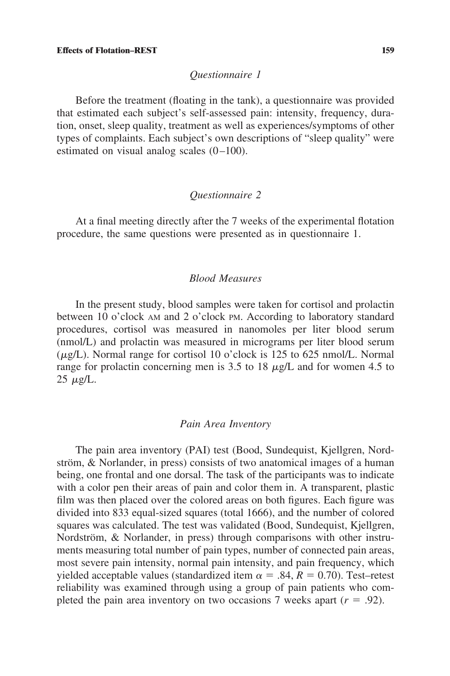# *Questionnaire 1*

Before the treatment (floating in the tank), a questionnaire was provided that estimated each subject's self-assessed pain: intensity, frequency, duration, onset, sleep quality, treatment as well as experiences/symptoms of other types of complaints. Each subject's own descriptions of "sleep quality" were estimated on visual analog scales (0–100).

# *Questionnaire 2*

At a final meeting directly after the 7 weeks of the experimental flotation procedure, the same questions were presented as in questionnaire 1.

# *Blood Measures*

In the present study, blood samples were taken for cortisol and prolactin between 10 o'clock AM and 2 o'clock PM. According to laboratory standard procedures, cortisol was measured in nanomoles per liter blood serum (nmol/L) and prolactin was measured in micrograms per liter blood serum  $(\mu g/L)$ . Normal range for cortisol 10 o'clock is 125 to 625 nmol/L. Normal range for prolactin concerning men is 3.5 to 18  $\mu$ g/L and for women 4.5 to  $25 \mu g/L$ .

#### *Pain Area Inventory*

The pain area inventory (PAI) test (Bood, Sundequist, Kjellgren, Nordström,  $\&$  Norlander, in press) consists of two anatomical images of a human being, one frontal and one dorsal. The task of the participants was to indicate with a color pen their areas of pain and color them in. A transparent, plastic film was then placed over the colored areas on both figures. Each figure was divided into 833 equal-sized squares (total 1666), and the number of colored squares was calculated. The test was validated (Bood, Sundequist, Kjellgren, Nordström, & Norlander, in press) through comparisons with other instruments measuring total number of pain types, number of connected pain areas, most severe pain intensity, normal pain intensity, and pain frequency, which yielded acceptable values (standardized item  $\alpha = .84$ ,  $R = 0.70$ ). Test–retest reliability was examined through using a group of pain patients who completed the pain area inventory on two occasions 7 weeks apart  $(r = .92)$ .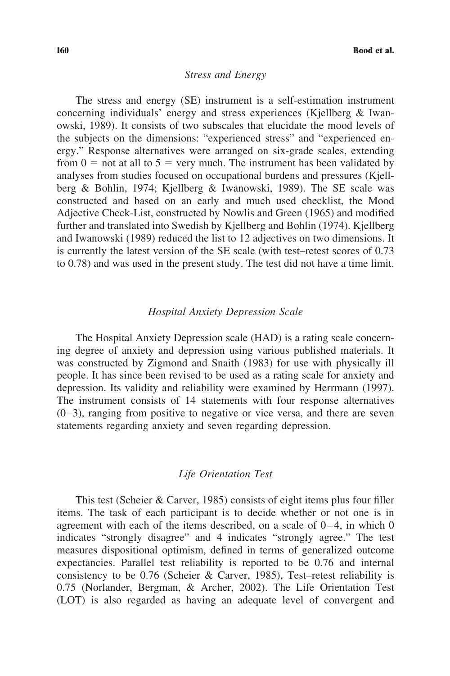# *Stress and Energy*

The stress and energy (SE) instrument is a self-estimation instrument concerning individuals' energy and stress experiences (Kjellberg & Iwanowski, 1989). It consists of two subscales that elucidate the mood levels of the subjects on the dimensions: "experienced stress" and "experienced energy." Response alternatives were arranged on six-grade scales, extending from  $0 =$  not at all to  $5 =$  very much. The instrument has been validated by analyses from studies focused on occupational burdens and pressures (Kjellberg & Bohlin, 1974; Kjellberg & Iwanowski, 1989). The SE scale was constructed and based on an early and much used checklist, the Mood Adjective Check-List, constructed by Nowlis and Green (1965) and modified further and translated into Swedish by Kjellberg and Bohlin (1974). Kjellberg and Iwanowski (1989) reduced the list to 12 adjectives on two dimensions. It is currently the latest version of the SE scale (with test–retest scores of 0.73 to 0.78) and was used in the present study. The test did not have a time limit.

# *Hospital Anxiety Depression Scale*

The Hospital Anxiety Depression scale (HAD) is a rating scale concerning degree of anxiety and depression using various published materials. It was constructed by Zigmond and Snaith (1983) for use with physically ill people. It has since been revised to be used as a rating scale for anxiety and depression. Its validity and reliability were examined by Herrmann (1997). The instrument consists of 14 statements with four response alternatives  $(0-3)$ , ranging from positive to negative or vice versa, and there are seven statements regarding anxiety and seven regarding depression.

# *Life Orientation Test*

This test (Scheier & Carver, 1985) consists of eight items plus four filler items. The task of each participant is to decide whether or not one is in agreement with each of the items described, on a scale of 0–4, in which 0 indicates "strongly disagree" and 4 indicates "strongly agree." The test measures dispositional optimism, defined in terms of generalized outcome expectancies. Parallel test reliability is reported to be 0.76 and internal consistency to be 0.76 (Scheier & Carver, 1985), Test–retest reliability is 0.75 (Norlander, Bergman, & Archer, 2002). The Life Orientation Test (LOT) is also regarded as having an adequate level of convergent and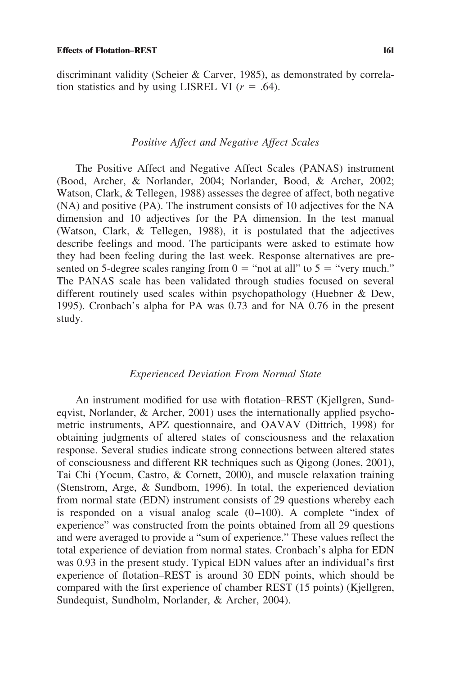discriminant validity (Scheier & Carver, 1985), as demonstrated by correlation statistics and by using LISREL VI  $(r = .64)$ .

# *Positive Affect and Negative Affect Scales*

The Positive Affect and Negative Affect Scales (PANAS) instrument (Bood, Archer, & Norlander, 2004; Norlander, Bood, & Archer, 2002; Watson, Clark, & Tellegen, 1988) assesses the degree of affect, both negative (NA) and positive (PA). The instrument consists of 10 adjectives for the NA dimension and 10 adjectives for the PA dimension. In the test manual (Watson, Clark, & Tellegen, 1988), it is postulated that the adjectives describe feelings and mood. The participants were asked to estimate how they had been feeling during the last week. Response alternatives are presented on 5-degree scales ranging from  $0 =$  "not at all" to  $5 =$  "very much." The PANAS scale has been validated through studies focused on several different routinely used scales within psychopathology (Huebner & Dew, 1995). Cronbach's alpha for PA was 0.73 and for NA 0.76 in the present study.

#### *Experienced Deviation From Normal State*

An instrument modified for use with flotation–REST (Kjellgren, Sundeqvist, Norlander, & Archer, 2001) uses the internationally applied psychometric instruments, APZ questionnaire, and OAVAV (Dittrich, 1998) for obtaining judgments of altered states of consciousness and the relaxation response. Several studies indicate strong connections between altered states of consciousness and different RR techniques such as Qigong (Jones, 2001), Tai Chi (Yocum, Castro, & Cornett, 2000), and muscle relaxation training (Stenstrom, Arge, & Sundbom, 1996). In total, the experienced deviation from normal state (EDN) instrument consists of 29 questions whereby each is responded on a visual analog scale (0–100). A complete "index of experience" was constructed from the points obtained from all 29 questions and were averaged to provide a "sum of experience." These values reflect the total experience of deviation from normal states. Cronbach's alpha for EDN was 0.93 in the present study. Typical EDN values after an individual's first experience of flotation–REST is around 30 EDN points, which should be compared with the first experience of chamber REST (15 points) (Kjellgren, Sundequist, Sundholm, Norlander, & Archer, 2004).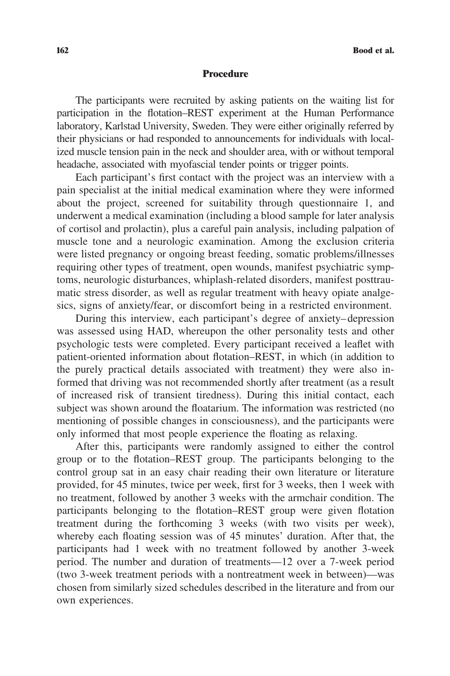#### **Procedure**

The participants were recruited by asking patients on the waiting list for participation in the flotation–REST experiment at the Human Performance laboratory, Karlstad University, Sweden. They were either originally referred by their physicians or had responded to announcements for individuals with localized muscle tension pain in the neck and shoulder area, with or without temporal headache, associated with myofascial tender points or trigger points.

Each participant's first contact with the project was an interview with a pain specialist at the initial medical examination where they were informed about the project, screened for suitability through questionnaire 1, and underwent a medical examination (including a blood sample for later analysis of cortisol and prolactin), plus a careful pain analysis, including palpation of muscle tone and a neurologic examination. Among the exclusion criteria were listed pregnancy or ongoing breast feeding, somatic problems/illnesses requiring other types of treatment, open wounds, manifest psychiatric symptoms, neurologic disturbances, whiplash-related disorders, manifest posttraumatic stress disorder, as well as regular treatment with heavy opiate analgesics, signs of anxiety/fear, or discomfort being in a restricted environment.

During this interview, each participant's degree of anxiety–depression was assessed using HAD, whereupon the other personality tests and other psychologic tests were completed. Every participant received a leaflet with patient-oriented information about flotation–REST, in which (in addition to the purely practical details associated with treatment) they were also informed that driving was not recommended shortly after treatment (as a result of increased risk of transient tiredness). During this initial contact, each subject was shown around the floatarium. The information was restricted (no mentioning of possible changes in consciousness), and the participants were only informed that most people experience the floating as relaxing.

After this, participants were randomly assigned to either the control group or to the flotation–REST group. The participants belonging to the control group sat in an easy chair reading their own literature or literature provided, for 45 minutes, twice per week, first for 3 weeks, then 1 week with no treatment, followed by another 3 weeks with the armchair condition. The participants belonging to the flotation–REST group were given flotation treatment during the forthcoming 3 weeks (with two visits per week), whereby each floating session was of 45 minutes' duration. After that, the participants had 1 week with no treatment followed by another 3-week period. The number and duration of treatments—12 over a 7-week period (two 3-week treatment periods with a nontreatment week in between)—was chosen from similarly sized schedules described in the literature and from our own experiences.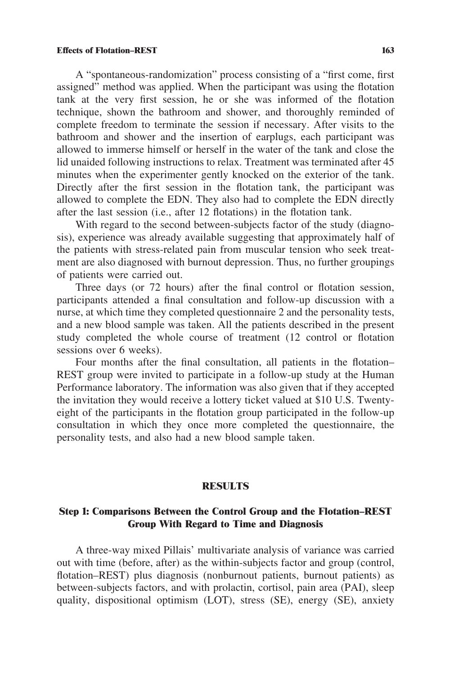A "spontaneous-randomization" process consisting of a "first come, first assigned" method was applied. When the participant was using the flotation tank at the very first session, he or she was informed of the flotation technique, shown the bathroom and shower, and thoroughly reminded of complete freedom to terminate the session if necessary. After visits to the bathroom and shower and the insertion of earplugs, each participant was allowed to immerse himself or herself in the water of the tank and close the lid unaided following instructions to relax. Treatment was terminated after 45 minutes when the experimenter gently knocked on the exterior of the tank. Directly after the first session in the flotation tank, the participant was allowed to complete the EDN. They also had to complete the EDN directly after the last session (i.e., after 12 flotations) in the flotation tank.

With regard to the second between-subjects factor of the study (diagnosis), experience was already available suggesting that approximately half of the patients with stress-related pain from muscular tension who seek treatment are also diagnosed with burnout depression. Thus, no further groupings of patients were carried out.

Three days (or 72 hours) after the final control or flotation session, participants attended a final consultation and follow-up discussion with a nurse, at which time they completed questionnaire 2 and the personality tests, and a new blood sample was taken. All the patients described in the present study completed the whole course of treatment (12 control or flotation sessions over 6 weeks).

Four months after the final consultation, all patients in the flotation– REST group were invited to participate in a follow-up study at the Human Performance laboratory. The information was also given that if they accepted the invitation they would receive a lottery ticket valued at \$10 U.S. Twentyeight of the participants in the flotation group participated in the follow-up consultation in which they once more completed the questionnaire, the personality tests, and also had a new blood sample taken.

#### **RESULTS**

# **Step 1: Comparisons Between the Control Group and the Flotation–REST Group With Regard to Time and Diagnosis**

A three-way mixed Pillais' multivariate analysis of variance was carried out with time (before, after) as the within-subjects factor and group (control, flotation–REST) plus diagnosis (nonburnout patients, burnout patients) as between-subjects factors, and with prolactin, cortisol, pain area (PAI), sleep quality, dispositional optimism (LOT), stress (SE), energy (SE), anxiety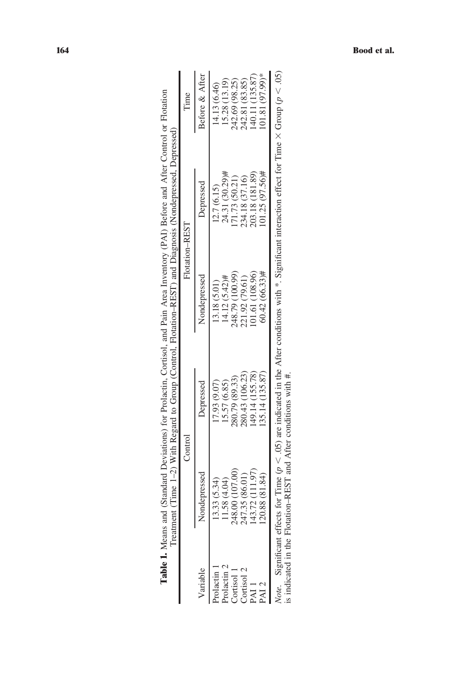|             |                 |                 |                 | <b>Table 1.</b> Means and (Standard Deviations) for Prolactin, Cortisol, and Pain Area Inventory (PAI) Before and After Control or Flotation<br>Treatment (Time 1-2) With Regard to Group (Control, Flotation-REST) and Diagnosis (Nondepressed, Depressed) |                 |
|-------------|-----------------|-----------------|-----------------|-------------------------------------------------------------------------------------------------------------------------------------------------------------------------------------------------------------------------------------------------------------|-----------------|
|             |                 | Control         | Flotation-REST  |                                                                                                                                                                                                                                                             | lime            |
| Variable    | Nondepressed    | Depressed       | Nondepressed    | Depressed                                                                                                                                                                                                                                                   | Before & After  |
| Prolactin   | 13.33 (5.34)    | (7.93(9.07)     | 13.18 (5.01)    | 12.7(6.15)                                                                                                                                                                                                                                                  | (4.13 (6.46)    |
| Prolactin 2 | 1.58(4.04)      | [5.57 (6.85)    | $4.12(5.42)$ #  | 24.31 (30.29)#                                                                                                                                                                                                                                              | 15.28 (13.19)   |
| Cortisol    | 248.00 (107.00) | 280.79 (89.33)  | 248.79 (100.99) | 71.73 (50.21)                                                                                                                                                                                                                                               | 242.69 (98.25)  |
| Cortisol 2  | 247.35 (86.01)  | 280.43 (106.23) | 221.92 (79.61)  | 234.18 (37.16)                                                                                                                                                                                                                                              | 242.81 (83.85)  |
| PAI 1       | 43.72 (111.97)  | (49.14(155.78)  | 01.61 (108.96)  | 203.18 (181.89)                                                                                                                                                                                                                                             | 40.11 (135.87)  |
| PAI 2       | 20.88 (81.84)   | 135.14 (135.87) | 60.42 (66.33)#  | $01.25(97.56)$ #                                                                                                                                                                                                                                            | $01.81(97.99)*$ |
|             |                 |                 |                 | Note. Significant effects for Time ( $p < 0.05$ ) are indicated in the After conditions with *. Significant interaction effect for Time $\times$ Group ( $p < 0.05$ )                                                                                       |                 |

| ;                    |               |
|----------------------|---------------|
|                      |               |
|                      |               |
| t                    |               |
| j                    |               |
|                      |               |
|                      |               |
|                      |               |
|                      |               |
| i                    |               |
| i                    |               |
| ł                    |               |
|                      |               |
|                      |               |
| j                    |               |
| t                    |               |
| WIth                 |               |
| i                    |               |
|                      |               |
| l<br>ļ               |               |
| 1                    |               |
|                      |               |
|                      | į<br>į        |
|                      |               |
|                      |               |
|                      |               |
| $\ddot{a}$           |               |
| ï                    | í             |
|                      |               |
| i                    | ŀ             |
| I                    |               |
| i                    |               |
|                      |               |
| ì                    | ļ             |
| $\ddot{\phantom{a}}$ |               |
|                      |               |
|                      | i             |
| ote.<br>֦֘           | mo.<br>.<br>. |
| ;<br>ś               | ł             |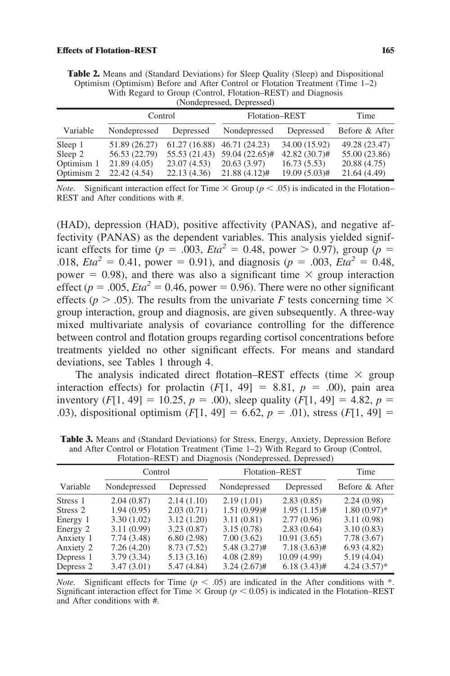| with Regard to Group (Control, Flotation–REST) and Diagnosis<br>(Nondepressed, Depressed) |               |  |                                                          |               |                |  |
|-------------------------------------------------------------------------------------------|---------------|--|----------------------------------------------------------|---------------|----------------|--|
|                                                                                           | Control       |  | Flotation-REST                                           |               | Time           |  |
| Variable                                                                                  | Nondepressed  |  | Depressed Nondepressed                                   | Depressed     | Before & After |  |
| Sleep 1                                                                                   | 51.89 (26.27) |  | $61.27(16.88)$ 46.71 (24.23)                             | 34.00 (15.92) | 49.28 (23.47)  |  |
| Sleep 2                                                                                   |               |  | 56.53 (22.79) 55.53 (21.43) 59.04 (22.65)# 42.82 (30.7)# |               | 55.00 (23.86)  |  |

**Table 2.** Means and (Standard Deviations) for Sleep Quality (Sleep) and Dispositional Optimism (Optimism) Before and After Control or Flotation Treatment (Time 1–2)  $R$ egard to Group (Control, Flotation–DEST) and

*Note.* Significant interaction effect for Time  $\times$  Group ( $p < .05$ ) is indicated in the Flotation– REST and After conditions with #.

Optimism 1 21.89 (4.05) 23.07 (4.53) 20.63 (3.97) 16.73 (5.53) 20.88 (4.75)<br>Optimism 2 22.42 (4.54) 22.13 (4.36) 21.88 (4.12)# 19.09 (5.03)# 21.64 (4.49) Optimism 2 22.42 (4.54) 22.13 (4.36) 21.88 (4.12)# 19.09 (5.03)# 21.64 (4.49)

(HAD), depression (HAD), positive affectivity (PANAS), and negative affectivity (PANAS) as the dependent variables. This analysis yielded significant effects for time ( $p = .003$ ,  $Eta^2 = 0.48$ , power  $> 0.97$ ), group ( $p =$ .018, *Eta*<sup>2</sup> = 0.41, power = 0.91), and diagnosis ( $p = .003$ , *Eta*<sup>2</sup> = 0.48, power = 0.98), and there was also a significant time  $\times$  group interaction effect ( $p = .005$ ,  $Eta^2 = 0.46$ , power = 0.96). There were no other significant effects ( $p > .05$ ). The results from the univariate *F* tests concerning time  $\times$ group interaction, group and diagnosis, are given subsequently. A three-way mixed multivariate analysis of covariance controlling for the difference between control and flotation groups regarding cortisol concentrations before treatments yielded no other significant effects. For means and standard deviations, see Tables 1 through 4.

The analysis indicated direct flotation–REST effects (time  $\times$  group interaction effects) for prolactin  $(F[1, 49] = 8.81, p = .00)$ , pain area inventory  $(F[1, 49] = 10.25, p = .00)$ , sleep quality  $(F[1, 49] = 4.82, p =$ .03), dispositional optimism  $(F[1, 49] = 6.62, p = .01)$ , stress  $(F[1, 49] =$ 

|           | Control      |             | Flotation-REST |                | Time           |
|-----------|--------------|-------------|----------------|----------------|----------------|
| Variable  | Nondepressed | Depressed   | Nondepressed   | Depressed      | Before & After |
| Stress 1  | 2.04(0.87)   | 2.14(1.10)  | 2.19(1.01)     | 2.83(0.85)     | 2.24(0.98)     |
| Stress 2  | 1.94(0.95)   | 2.03(0.71)  | $1.51(0.99)$ # | $1.95(1.15)$ # | $1.80(0.97)$ * |
| Energy 1  | 3.30(1.02)   | 3.12(1.20)  | 3.11(0.81)     | 2.77(0.96)     | 3.11(0.98)     |
| Energy 2  | 3.11(0.99)   | 3.23(0.87)  | 3.15(0.78)     | 2.83(0.64)     | 3.10(0.83)     |
| Anxiety 1 | 7.74(3.48)   | 6.80(2.98)  | 7.00(3.62)     | 10.91(3.65)    | 7.78(3.67)     |
| Anxiety 2 | 7.26(4.20)   | 8.73 (7.52) | $5.48(3.27)$ # | $7.18(3.63)$ # | 6.93(4.82)     |
| Depress 1 | 3.79(3.34)   | 5.13(3.16)  | 4.08(2.89)     | 10.09(4.99)    | 5.19(4.04)     |
| Depress 2 | 3.47(3.01)   | 5.47 (4.84) | $3.24(2.67)$ # | $6.18(3.43)$ # | $4.24(3.57)*$  |

**Table 3.** Means and (Standard Deviations) for Stress, Energy, Anxiety, Depression Before and After Control or Flotation Treatment (Time 1–2) With Regard to Group (Control, Flotation–REST) and Diagnosis (Nondepressed, Depressed)

*Note.* Significant effects for Time ( $p < .05$ ) are indicated in the After conditions with \*. Significant interaction effect for Time  $\times$  Group ( $p < 0.05$ ) is indicated in the Flotation–REST and After conditions with #.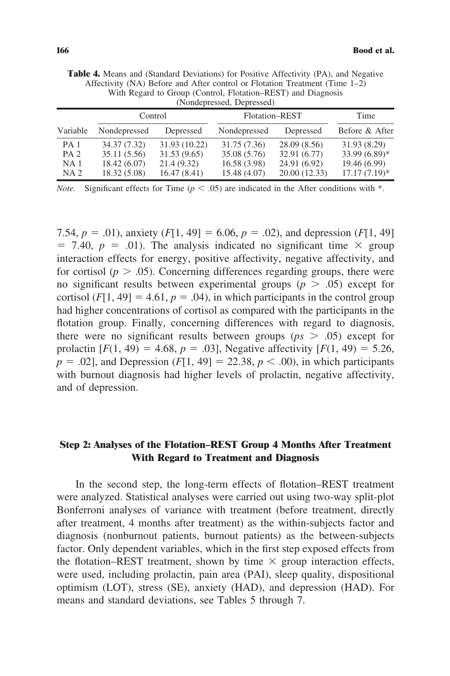| (Nondepressed, Depressed)                                     |                                                              |                                                             |                                                              |                                                              |                                                                    |
|---------------------------------------------------------------|--------------------------------------------------------------|-------------------------------------------------------------|--------------------------------------------------------------|--------------------------------------------------------------|--------------------------------------------------------------------|
|                                                               | Control                                                      |                                                             | Flotation-REST                                               |                                                              | Time                                                               |
| Variable                                                      | Nondepressed                                                 | Depressed                                                   | Nondepressed                                                 | Depressed                                                    | Before & After                                                     |
| PA <sub>1</sub><br>PA <sub>2</sub><br>NA 1<br>NA <sub>2</sub> | 34.37 (7.32)<br>35.11 (5.56)<br>18.42 (6.07)<br>18.32 (5.08) | 31.93 (10.22)<br>31.53 (9.65)<br>21.4 (9.32)<br>16.47(8.41) | 31.75 (7.36)<br>35.08 (5.76)<br>16.58 (3.98)<br>15.48 (4.07) | 28.09(8.56)<br>32.91 (6.77)<br>24.91 (6.92)<br>20.00 (12.33) | 31.93 (8.29)<br>$33.99(6.89)$ *<br>19.46 (6.99)<br>$17.17(7.19)^*$ |

**Table 4.** Means and (Standard Deviations) for Positive Affectivity (PA), and Negative Affectivity (NA) Before and After control or Flotation Treatment (Time 1–2) With Regard to Group (Control, Flotation–REST) and Diagnosis (Nondepressed, Depressed)

*Note.* Significant effects for Time ( $p < .05$ ) are indicated in the After conditions with \*.

7.54,  $p = .01$ ), anxiety ( $F[1, 49] = 6.06$ ,  $p = .02$ ), and depression ( $F[1, 49]$ )  $= 7.40, p = .01$ ). The analysis indicated no significant time  $\times$  group interaction effects for energy, positive affectivity, negative affectivity, and for cortisol ( $p > .05$ ). Concerning differences regarding groups, there were no significant results between experimental groups  $(p > .05)$  except for cortisol  $(F[1, 49] = 4.61, p = .04)$ , in which participants in the control group had higher concentrations of cortisol as compared with the participants in the flotation group. Finally, concerning differences with regard to diagnosis, there were no significant results between groups ( $ps > .05$ ) except for prolactin  $[F(1, 49) = 4.68, p = .03]$ , Negative affectivity  $[F(1, 49) = 5.26, p = .03]$  $p = .02$ , and Depression (*F*[1, 49] = 22.38,  $p < .00$ ), in which participants with burnout diagnosis had higher levels of prolactin, negative affectivity, and of depression.

# **Step 2: Analyses of the Flotation–REST Group 4 Months After Treatment With Regard to Treatment and Diagnosis**

In the second step, the long-term effects of flotation–REST treatment were analyzed. Statistical analyses were carried out using two-way split-plot Bonferroni analyses of variance with treatment (before treatment, directly after treatment, 4 months after treatment) as the within-subjects factor and diagnosis (nonburnout patients, burnout patients) as the between-subjects factor. Only dependent variables, which in the first step exposed effects from the flotation–REST treatment, shown by time  $\times$  group interaction effects, were used, including prolactin, pain area (PAI), sleep quality, dispositional optimism (LOT), stress (SE), anxiety (HAD), and depression (HAD). For means and standard deviations, see Tables 5 through 7.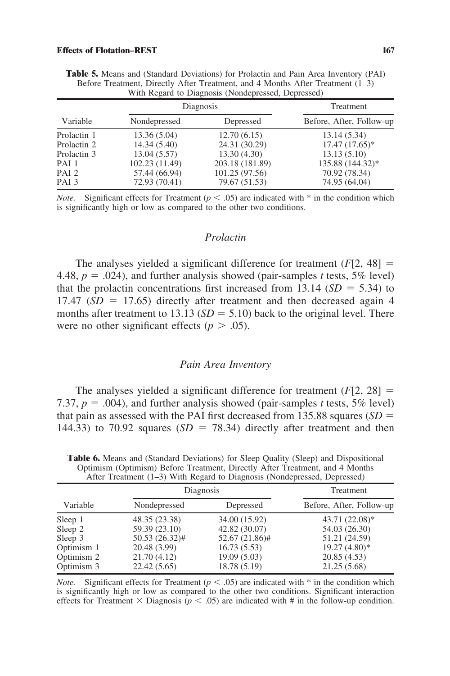|                  | Diagnosis      | Treatment       |                          |
|------------------|----------------|-----------------|--------------------------|
| Variable         | Nondepressed   | Depressed       | Before, After, Follow-up |
| Prolactin 1      | 13.36 (5.04)   | 12.70(6.15)     | 13.14 (5.34)             |
| Prolactin 2      | 14.34(5.40)    | 24.31 (30.29)   | $17.47(17.65)^*$         |
| Prolactin 3      | 13.04(5.57)    | 13.30(4.30)     | 13.13(5.10)              |
| PAI 1            | 102.23 (11.49) | 203.18 (181.89) | 135.88 (144.32)*         |
| PAI <sub>2</sub> | 57.44 (66.94)  | 101.25 (97.56)  | 70.92 (78.34)            |
| PAI <sub>3</sub> | 72.93 (70.41)  | 79.67 (51.53)   | 74.95 (64.04)            |

**Table 5.** Means and (Standard Deviations) for Prolactin and Pain Area Inventory (PAI) Before Treatment, Directly After Treatment, and 4 Months After Treatment (1–3) With Regard to Diagnosis (Nondepressed, Depressed)

*Note.* Significant effects for Treatment ( $p < .05$ ) are indicated with  $*$  in the condition which is significantly high or low as compared to the other two conditions.

### *Prolactin*

The analyses yielded a significant difference for treatment  $(F[2, 48] =$ 4.48,  $p = .024$ ), and further analysis showed (pair-samples *t* tests, 5% level) that the prolactin concentrations first increased from 13.14  $(SD = 5.34)$  to  $17.47$  (*SD* = 17.65) directly after treatment and then decreased again 4 months after treatment to 13.13 ( $SD = 5.10$ ) back to the original level. There were no other significant effects ( $p > .05$ ).

#### *Pain Area Inventory*

The analyses yielded a significant difference for treatment  $(F[2, 28])$ 7.37,  $p = .004$ ), and further analysis showed (pair-samples *t* tests, 5% level) that pain as assessed with the PAI first decreased from 135.88 squares (*SD* 144.33) to 70.92 squares  $(SD = 78.34)$  directly after treatment and then

Variable Diagnosis Treatment Nondepressed Depressed Before, After, Follow-up Sleep 1 48.35 (23.38) 34.00 (15.92) 43.71 (22.08)\* Sleep 2 59.39 (23.10) 42.82 (30.07) 54.03 (26.30) Sleep 3 50.53 (26.32)# 52.67 (21.86)# 51.21 (24.59) Optimism 1 20.48 (3.99) 16.73 (5.53) 19.27 (4.80)\*<br>
Optimism 2 21.70 (4.12) 19.09 (5.03) 20.85 (4.53) Optimism 2 21.70 (4.12) Optimism 3 22.42 (5.65) 18.78 (5.19) 21.25 (5.68)

Table 6. Means and (Standard Deviations) for Sleep Quality (Sleep) and Dispositional Optimism (Optimism) Before Treatment, Directly After Treatment, and 4 Months After Treatment (1–3) With Regard to Diagnosis (Nondepressed, Depressed)

*Note.* Significant effects for Treatment ( $p < .05$ ) are indicated with  $*$  in the condition which is significantly high or low as compared to the other two conditions. Significant interaction effects for Treatment  $\times$  Diagnosis ( $p < .05$ ) are indicated with # in the follow-up condition.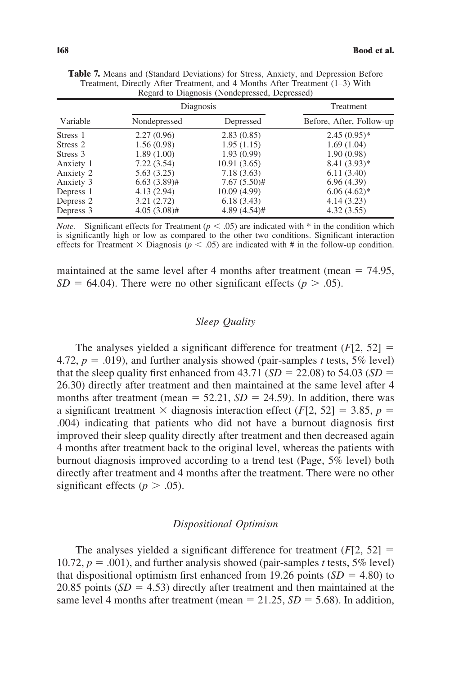|           |                | Diagnosis      | Treatment                |
|-----------|----------------|----------------|--------------------------|
| Variable  | Nondepressed   | Depressed      | Before, After, Follow-up |
| Stress 1  | 2.27(0.96)     | 2.83(0.85)     | $2.45(0.95)^*$           |
| Stress 2  | 1.56(0.98)     | 1.95(1.15)     | 1.69(1.04)               |
| Stress 3  | 1.89(1.00)     | 1.93(0.99)     | 1.90(0.98)               |
| Anxiety 1 | 7.22(3.54)     | 10.91(3.65)    | $8.41(3.93)*$            |
| Anxiety 2 | 5.63(3.25)     | 7.18(3.63)     | 6.11(3.40)               |
| Anxiety 3 | $6.63(3.89)$ # | $7.67(5.50)$ # | 6.96(4.39)               |
| Depress 1 | 4.13(2.94)     | 10.09(4.99)    | $6.06(4.62)$ *           |
| Depress 2 | 3.21(2.72)     | 6.18(3.43)     | 4.14(3.23)               |
| Depress 3 | $4.05(3.08)$ # | $4.89(4.54)$ # | 4.32(3.55)               |

**Table 7.** Means and (Standard Deviations) for Stress, Anxiety, and Depression Before Treatment, Directly After Treatment, and 4 Months After Treatment (1–3) With Regard to Diagnosis (Nondepressed, Depressed)

*Note.* Significant effects for Treatment ( $p < .05$ ) are indicated with  $*$  in the condition which is significantly high or low as compared to the other two conditions. Significant interaction effects for Treatment  $\times$  Diagnosis ( $p < .05$ ) are indicated with # in the follow-up condition.

maintained at the same level after 4 months after treatment (mean  $= 74.95$ ,  $SD = 64.04$ ). There were no other significant effects ( $p > .05$ ).

# *Sleep Quality*

The analyses yielded a significant difference for treatment  $(F[2, 52] =$ 4.72,  $p = .019$ ), and further analysis showed (pair-samples *t* tests, 5% level) that the sleep quality first enhanced from  $43.71$  (*SD* = 22.08) to 54.03 (*SD* = 26.30) directly after treatment and then maintained at the same level after 4 months after treatment (mean  $= 52.21$ ,  $SD = 24.59$ ). In addition, there was a significant treatment  $\times$  diagnosis interaction effect (*F*[2, 52] = 3.85, *p* = .004) indicating that patients who did not have a burnout diagnosis first improved their sleep quality directly after treatment and then decreased again 4 months after treatment back to the original level, whereas the patients with burnout diagnosis improved according to a trend test (Page, 5% level) both directly after treatment and 4 months after the treatment. There were no other significant effects ( $p > .05$ ).

# *Dispositional Optimism*

The analyses yielded a significant difference for treatment  $(F[2, 52] =$ 10.72,  $p = .001$ ), and further analysis showed (pair-samples *t* tests, 5% level) that dispositional optimism first enhanced from 19.26 points  $(SD = 4.80)$  to 20.85 points  $(SD = 4.53)$  directly after treatment and then maintained at the same level 4 months after treatment (mean  $= 21.25$ ,  $SD = 5.68$ ). In addition,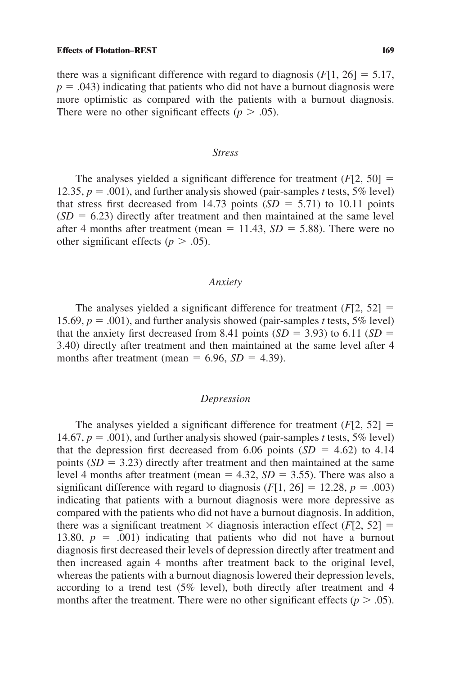#### **Effects of Flotation–REST 169**

there was a significant difference with regard to diagnosis  $(F[1, 26] = 5.17$ ,  $p = .043$ ) indicating that patients who did not have a burnout diagnosis were more optimistic as compared with the patients with a burnout diagnosis. There were no other significant effects ( $p > .05$ ).

# *Stress*

The analyses yielded a significant difference for treatment  $(F[2, 50] =$ 12.35,  $p = .001$ ), and further analysis showed (pair-samples *t* tests, 5% level) that stress first decreased from 14.73 points  $(SD = 5.71)$  to 10.11 points  $(SD = 6.23)$  directly after treatment and then maintained at the same level after 4 months after treatment (mean  $= 11.43$ ,  $SD = 5.88$ ). There were no other significant effects ( $p > .05$ ).

# *Anxiety*

The analyses yielded a significant difference for treatment  $(F[2, 52] =$ 15.69,  $p = .001$ ), and further analysis showed (pair-samples *t* tests, 5% level) that the anxiety first decreased from 8.41 points  $(SD = 3.93)$  to 6.11  $(SD = 3.93)$ 3.40) directly after treatment and then maintained at the same level after 4 months after treatment (mean  $= 6.96$ , *SD*  $= 4.39$ ).

# *Depression*

The analyses yielded a significant difference for treatment  $(F[2, 52] =$ 14.67,  $p = .001$ ), and further analysis showed (pair-samples *t* tests, 5% level) that the depression first decreased from 6.06 points  $(SD = 4.62)$  to 4.14 points  $(SD = 3.23)$  directly after treatment and then maintained at the same level 4 months after treatment (mean  $= 4.32$ ,  $SD = 3.55$ ). There was also a significant difference with regard to diagnosis  $(F[1, 26] = 12.28, p = .003)$ indicating that patients with a burnout diagnosis were more depressive as compared with the patients who did not have a burnout diagnosis. In addition, there was a significant treatment  $\times$  diagnosis interaction effect (*F*[2, 52] = 13.80,  $p = .001$ ) indicating that patients who did not have a burnout diagnosis first decreased their levels of depression directly after treatment and then increased again 4 months after treatment back to the original level, whereas the patients with a burnout diagnosis lowered their depression levels, according to a trend test (5% level), both directly after treatment and 4 months after the treatment. There were no other significant effects ( $p > .05$ ).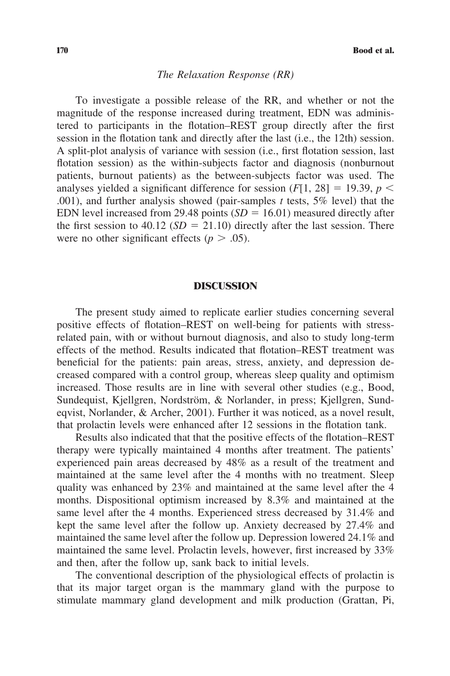# *The Relaxation Response (RR)*

To investigate a possible release of the RR, and whether or not the magnitude of the response increased during treatment, EDN was administered to participants in the flotation–REST group directly after the first session in the flotation tank and directly after the last (i.e., the 12th) session. A split-plot analysis of variance with session (i.e., first flotation session, last flotation session) as the within-subjects factor and diagnosis (nonburnout patients, burnout patients) as the between-subjects factor was used. The analyses yielded a significant difference for session  $(F[1, 28] = 19.39, p <$ .001), and further analysis showed (pair-samples *t* tests, 5% level) that the EDN level increased from 29.48 points  $(SD = 16.01)$  measured directly after the first session to 40.12 ( $SD = 21.10$ ) directly after the last session. There were no other significant effects ( $p > .05$ ).

# **DISCUSSION**

The present study aimed to replicate earlier studies concerning several positive effects of flotation–REST on well-being for patients with stressrelated pain, with or without burnout diagnosis, and also to study long-term effects of the method. Results indicated that flotation–REST treatment was beneficial for the patients: pain areas, stress, anxiety, and depression decreased compared with a control group, whereas sleep quality and optimism increased. Those results are in line with several other studies (e.g., Bood, Sundequist, Kjellgren, Nordström, & Norlander, in press; Kjellgren, Sundeqvist, Norlander, & Archer, 2001). Further it was noticed, as a novel result, that prolactin levels were enhanced after 12 sessions in the flotation tank.

Results also indicated that that the positive effects of the flotation–REST therapy were typically maintained 4 months after treatment. The patients' experienced pain areas decreased by 48% as a result of the treatment and maintained at the same level after the 4 months with no treatment. Sleep quality was enhanced by 23% and maintained at the same level after the 4 months. Dispositional optimism increased by 8.3% and maintained at the same level after the 4 months. Experienced stress decreased by 31.4% and kept the same level after the follow up. Anxiety decreased by 27.4% and maintained the same level after the follow up. Depression lowered 24.1% and maintained the same level. Prolactin levels, however, first increased by 33% and then, after the follow up, sank back to initial levels.

The conventional description of the physiological effects of prolactin is that its major target organ is the mammary gland with the purpose to stimulate mammary gland development and milk production (Grattan, Pi,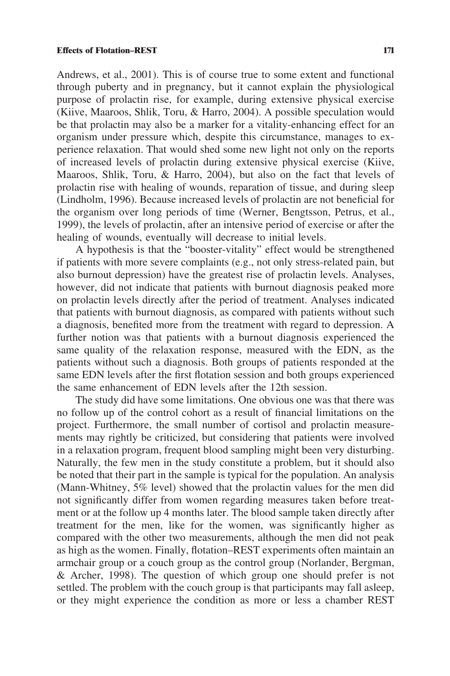Andrews, et al., 2001). This is of course true to some extent and functional through puberty and in pregnancy, but it cannot explain the physiological purpose of prolactin rise, for example, during extensive physical exercise (Kiive, Maaroos, Shlik, Toru, & Harro, 2004). A possible speculation would be that prolactin may also be a marker for a vitality-enhancing effect for an organism under pressure which, despite this circumstance, manages to experience relaxation. That would shed some new light not only on the reports of increased levels of prolactin during extensive physical exercise (Kiive, Maaroos, Shlik, Toru, & Harro, 2004), but also on the fact that levels of prolactin rise with healing of wounds, reparation of tissue, and during sleep (Lindholm, 1996). Because increased levels of prolactin are not beneficial for the organism over long periods of time (Werner, Bengtsson, Petrus, et al., 1999), the levels of prolactin, after an intensive period of exercise or after the healing of wounds, eventually will decrease to initial levels.

A hypothesis is that the "booster-vitality" effect would be strengthened if patients with more severe complaints (e.g., not only stress-related pain, but also burnout depression) have the greatest rise of prolactin levels. Analyses, however, did not indicate that patients with burnout diagnosis peaked more on prolactin levels directly after the period of treatment. Analyses indicated that patients with burnout diagnosis, as compared with patients without such a diagnosis, benefited more from the treatment with regard to depression. A further notion was that patients with a burnout diagnosis experienced the same quality of the relaxation response, measured with the EDN, as the patients without such a diagnosis. Both groups of patients responded at the same EDN levels after the first flotation session and both groups experienced the same enhancement of EDN levels after the 12th session.

The study did have some limitations. One obvious one was that there was no follow up of the control cohort as a result of financial limitations on the project. Furthermore, the small number of cortisol and prolactin measurements may rightly be criticized, but considering that patients were involved in a relaxation program, frequent blood sampling might been very disturbing. Naturally, the few men in the study constitute a problem, but it should also be noted that their part in the sample is typical for the population. An analysis (Mann-Whitney, 5% level) showed that the prolactin values for the men did not significantly differ from women regarding measures taken before treatment or at the follow up 4 months later. The blood sample taken directly after treatment for the men, like for the women, was significantly higher as compared with the other two measurements, although the men did not peak as high as the women. Finally, flotation–REST experiments often maintain an armchair group or a couch group as the control group (Norlander, Bergman, & Archer, 1998). The question of which group one should prefer is not settled. The problem with the couch group is that participants may fall asleep, or they might experience the condition as more or less a chamber REST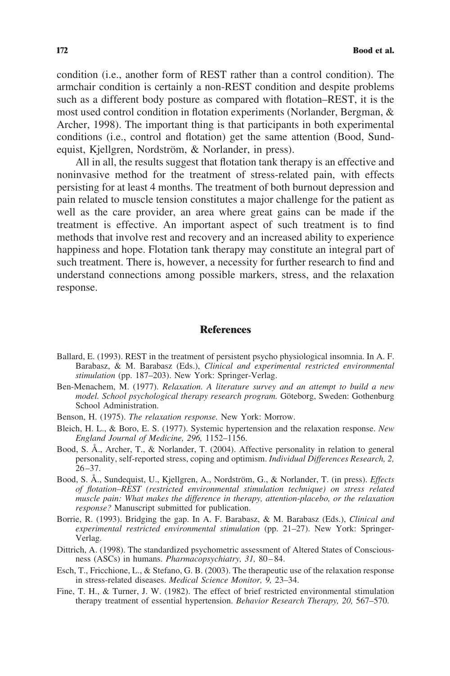condition (i.e., another form of REST rather than a control condition). The armchair condition is certainly a non-REST condition and despite problems such as a different body posture as compared with flotation–REST, it is the most used control condition in flotation experiments (Norlander, Bergman, & Archer, 1998). The important thing is that participants in both experimental conditions (i.e., control and flotation) get the same attention (Bood, Sundequist, Kjellgren, Nordström, & Norlander, in press).

All in all, the results suggest that flotation tank therapy is an effective and noninvasive method for the treatment of stress-related pain, with effects persisting for at least 4 months. The treatment of both burnout depression and pain related to muscle tension constitutes a major challenge for the patient as well as the care provider, an area where great gains can be made if the treatment is effective. An important aspect of such treatment is to find methods that involve rest and recovery and an increased ability to experience happiness and hope. Flotation tank therapy may constitute an integral part of such treatment. There is, however, a necessity for further research to find and understand connections among possible markers, stress, and the relaxation response.

# **References**

- Ballard, E. (1993). REST in the treatment of persistent psycho physiological insomnia. In A. F. Barabasz, & M. Barabasz (Eds.), *Clinical and experimental restricted environmental stimulation* (pp. 187–203). New York: Springer-Verlag.
- Ben-Menachem, M. (1977). *Relaxation. A literature survey and an attempt to build a new model. School psychological therapy research program.* Göteborg, Sweden: Gothenburg School Administration.
- Benson, H. (1975). *The relaxation response.* New York: Morrow.
- Bleich, H. L., & Boro, E. S. (1977). Systemic hypertension and the relaxation response. *New England Journal of Medicine, 296,* 1152–1156.
- Bood, S. Å., Archer, T., & Norlander, T. (2004). Affective personality in relation to general personality, self-reported stress, coping and optimism. *Individual Differences Research, 2,* 26–37.
- Bood, S. Å., Sundequist, U., Kjellgren, A., Nordström, G., & Norlander, T. (in press). *Effects of flotation–REST (restricted environmental stimulation technique) on stress related muscle pain: What makes the difference in therapy, attention-placebo, or the relaxation response?* Manuscript submitted for publication.
- Borrie, R. (1993). Bridging the gap. In A. F. Barabasz, & M. Barabasz (Eds.), *Clinical and experimental restricted environmental stimulation* (pp. 21–27). New York: Springer-Verlag.
- Dittrich, A. (1998). The standardized psychometric assessment of Altered States of Consciousness (ASCs) in humans. *Pharmacopsychiatry, 31,* 80–84.
- Esch, T., Fricchione, L., & Stefano, G. B. (2003). The therapeutic use of the relaxation response in stress-related diseases. *Medical Science Monitor, 9,* 23–34.
- Fine, T. H., & Turner, J. W. (1982). The effect of brief restricted environmental stimulation therapy treatment of essential hypertension. *Behavior Research Therapy, 20,* 567–570.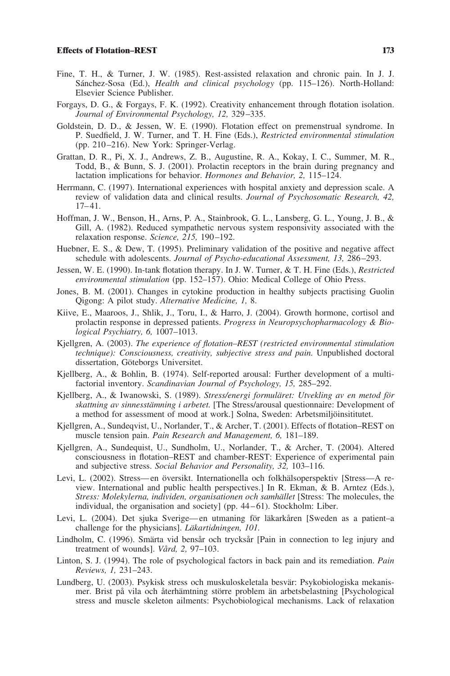#### **Effects of Flotation–REST 173**

- Fine, T. H., & Turner, J. W. (1985). Rest-assisted relaxation and chronic pain. In J. J. Sánchez-Sosa (Ed.), *Health and clinical psychology* (pp. 115–126). North-Holland: Elsevier Science Publisher.
- Forgays, D. G., & Forgays, F. K. (1992). Creativity enhancement through flotation isolation. *Journal of Environmental Psychology, 12,* 329–335.
- Goldstein, D. D., & Jessen, W. E. (1990). Flotation effect on premenstrual syndrome. In P. Suedfield, J. W. Turner, and T. H. Fine (Eds.), *Restricted environmental stimulation* (pp. 210–216). New York: Springer-Verlag.
- Grattan, D. R., Pi, X. J., Andrews, Z. B., Augustine, R. A., Kokay, I. C., Summer, M. R., Todd, B., & Bunn, S. J. (2001). Prolactin receptors in the brain during pregnancy and lactation implications for behavior. *Hormones and Behavior, 2,* 115–124.
- Herrmann, C. (1997). International experiences with hospital anxiety and depression scale. A review of validation data and clinical results. *Journal of Psychosomatic Research, 42,* 17–41.
- Hoffman, J. W., Benson, H., Arns, P. A., Stainbrook, G. L., Lansberg, G. L., Young, J. B., & Gill, A. (1982). Reduced sympathetic nervous system responsivity associated with the relaxation response. *Science, 215,* 190–192.
- Huebner, E. S., & Dew, T. (1995). Preliminary validation of the positive and negative affect schedule with adolescents. *Journal of Psycho-educational Assessment, 13,* 286–293.
- Jessen, W. E. (1990). In-tank flotation therapy. In J. W. Turner, & T. H. Fine (Eds.), *Restricted environmental stimulation* (pp. 152–157). Ohio: Medical College of Ohio Press.
- Jones, B. M. (2001). Changes in cytokine production in healthy subjects practising Guolin Qigong: A pilot study. *Alternative Medicine, 1,* 8.
- Kiive, E., Maaroos, J., Shlik, J., Toru, I., & Harro, J. (2004). Growth hormone, cortisol and prolactin response in depressed patients. *Progress in Neuropsychopharmacology & Biological Psychiatry, 6,* 1007–1013.
- Kjellgren, A. (2003). *The experience of flotation–REST (restricted environmental stimulation technique): Consciousness, creativity, subjective stress and pain.* Unpublished doctoral dissertation, Göteborgs Universitet.
- Kjellberg, A., & Bohlin, B. (1974). Self-reported arousal: Further development of a multifactorial inventory. *Scandinavian Journal of Psychology, 15,* 285–292.
- Kjellberg, A., & Iwanowski, S. (1989). *Stress/energi formuläret: Utvekling av en metod för skattning av sinnesstämning i arbetet.* [The Stress/arousal questionnaire: Development of a method for assessment of mood at work.] Solna, Sweden: Arbetsmiljöinsititutet.
- Kjellgren, A., Sundeqvist, U., Norlander, T., & Archer, T. (2001). Effects of flotation–REST on muscle tension pain. *Pain Research and Management, 6,* 181–189.
- Kjellgren, A., Sundequist, U., Sundholm, U., Norlander, T., & Archer, T. (2004). Altered consciousness in flotation–REST and chamber-REST: Experience of experimental pain and subjective stress. *Social Behavior and Personality, 32,* 103–116.
- Levi, L. (2002). Stress—en översikt. Internationella och folkhälsoperspektiv [Stress—A review. International and public health perspectives.] In R. Ekman, & B. Arntez (Eds.), *Stress: Molekylerna, individen, organisationen och samhället* [Stress: The molecules, the individual, the organisation and society] (pp. 44–61). Stockholm: Liber.
- Levi, L. (2004). Det sjuka Sverige—en utmaning för läkarkåren [Sweden as a patient–a challenge for the physicians]. *Läkartidningen*, 101.
- Lindholm, C. (1996). Smärta vid bensår och trycksår [Pain in connection to leg injury and treatment of wounds]. *Vård, 2,* 97–103.
- Linton, S. J. (1994). The role of psychological factors in back pain and its remediation. *Pain Reviews, 1,* 231–243.
- Lundberg, U. (2003). Psykisk stress och muskuloskeletala besvär: Psykobiologiska mekanismer. Brist på vila och återhämtning större problem än arbetsbelastning [Psychological] stress and muscle skeleton ailments: Psychobiological mechanisms. Lack of relaxation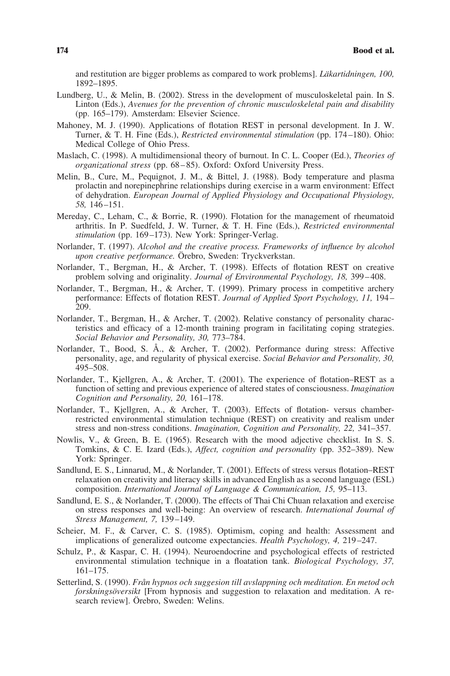and restitution are bigger problems as compared to work problems]. *Läkartidningen*, 100, 1892–1895.

- Lundberg, U., & Melin, B. (2002). Stress in the development of musculoskeletal pain. In S. Linton (Eds.), *Avenues for the prevention of chronic musculoskeletal pain and disability* (pp. 165–179). Amsterdam: Elsevier Science.
- Mahoney, M. J. (1990). Applications of flotation REST in personal development. In J. W. Turner, & T. H. Fine (Eds.), *Restricted environmental stimulation* (pp. 174–180). Ohio: Medical College of Ohio Press.
- Maslach, C. (1998). A multidimensional theory of burnout. In C. L. Cooper (Ed.), *Theories of organizational stress* (pp. 68–85). Oxford: Oxford University Press.
- Melin, B., Cure, M., Pequignot, J. M., & Bittel, J. (1988). Body temperature and plasma prolactin and norepinephrine relationships during exercise in a warm environment: Effect of dehydration. *European Journal of Applied Physiology and Occupational Physiology, 58,* 146–151.
- Mereday, C., Leham, C., & Borrie, R. (1990). Flotation for the management of rheumatoid arthritis. In P. Suedfeld, J. W. Turner, & T. H. Fine (Eds.), *Restricted environmental stimulation* (pp. 169–173). New York: Springer-Verlag.
- Norlander, T. (1997). *Alcohol and the creative process. Frameworks of influence by alcohol upon creative performance*. Örebro, Sweden: Tryckverkstan.
- Norlander, T., Bergman, H., & Archer, T. (1998). Effects of flotation REST on creative problem solving and originality. *Journal of Environmental Psychology, 18,* 399–408.
- Norlander, T., Bergman, H., & Archer, T. (1999). Primary process in competitive archery performance: Effects of flotation REST. *Journal of Applied Sport Psychology, 11,* 194– 209.
- Norlander, T., Bergman, H., & Archer, T. (2002). Relative constancy of personality characteristics and efficacy of a 12-month training program in facilitating coping strategies. *Social Behavior and Personality, 30,* 773–784.
- Norlander, T., Bood, S. Å., & Archer, T. (2002). Performance during stress: Affective personality, age, and regularity of physical exercise. *Social Behavior and Personality, 30,* 495–508.
- Norlander, T., Kjellgren, A., & Archer, T. (2001). The experience of flotation–REST as a function of setting and previous experience of altered states of consciousness. *Imagination Cognition and Personality, 20,* 161–178.
- Norlander, T., Kjellgren, A., & Archer, T. (2003). Effects of flotation- versus chamberrestricted environmental stimulation technique (REST) on creativity and realism under stress and non-stress conditions. *Imagination, Cognition and Personality, 22,* 341–357.
- Nowlis, V., & Green, B. E. (1965). Research with the mood adjective checklist. In S. S. Tomkins, & C. E. Izard (Eds.), *Affect, cognition and personality* (pp. 352–389). New York: Springer.
- Sandlund, E. S., Linnarud, M., & Norlander, T. (2001). Effects of stress versus flotation–REST relaxation on creativity and literacy skills in advanced English as a second language (ESL) composition. *International Journal of Language & Communication, 15,* 95–113.
- Sandlund, E. S., & Norlander, T. (2000). The effects of Thai Chi Chuan relaxation and exercise on stress responses and well-being: An overview of research. *International Journal of Stress Management, 7,* 139–149.
- Scheier, M. F., & Carver, C. S. (1985). Optimism, coping and health: Assessment and implications of generalized outcome expectancies. *Health Psychology, 4,* 219–247.
- Schulz, P., & Kaspar, C. H. (1994). Neuroendocrine and psychological effects of restricted environmental stimulation technique in a floatation tank. *Biological Psychology, 37,* 161–175.
- Setterlind, S. (1990). *Från hypnos och suggesion till avslappning och meditation. En metod och forskningsöversikt* [From hypnosis and suggestion to relaxation and meditation. A research review]. Örebro, Sweden: Welins.